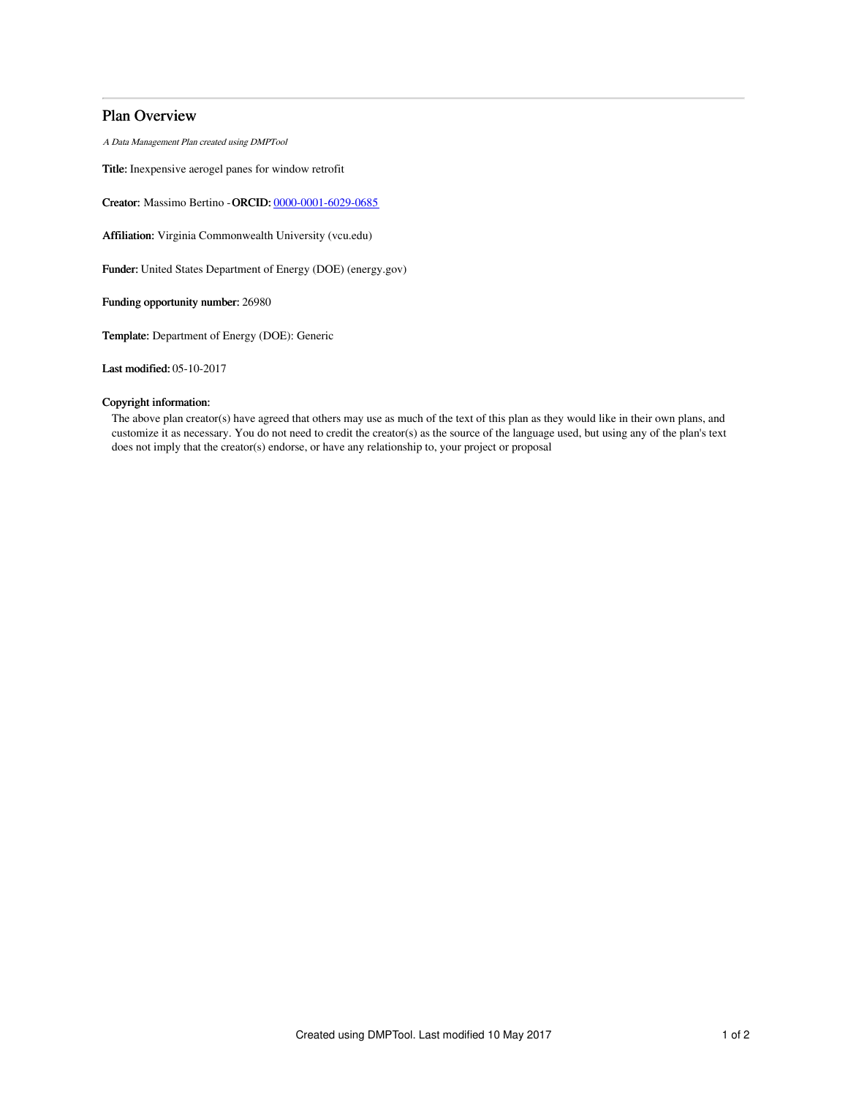# Plan Overview

A Data Management Plan created using DMPTool

Title: Inexpensive aerogel panes for window retrofit

Creator: Massimo Bertino -ORCID: [0000-0001-6029-0685](https://orcid.org/0000-0001-6029-0685)

Affiliation: Virginia Commonwealth University (vcu.edu)

Funder: United States Department of Energy (DOE) (energy.gov)

Funding opportunity number: 26980

Template: Department of Energy (DOE): Generic

Last modified: 05-10-2017

## Copyright information:

The above plan creator(s) have agreed that others may use as much of the text of this plan as they would like in their own plans, and customize it as necessary. You do not need to credit the creator(s) as the source of the language used, but using any of the plan's text does not imply that the creator(s) endorse, or have any relationship to, your project or proposal